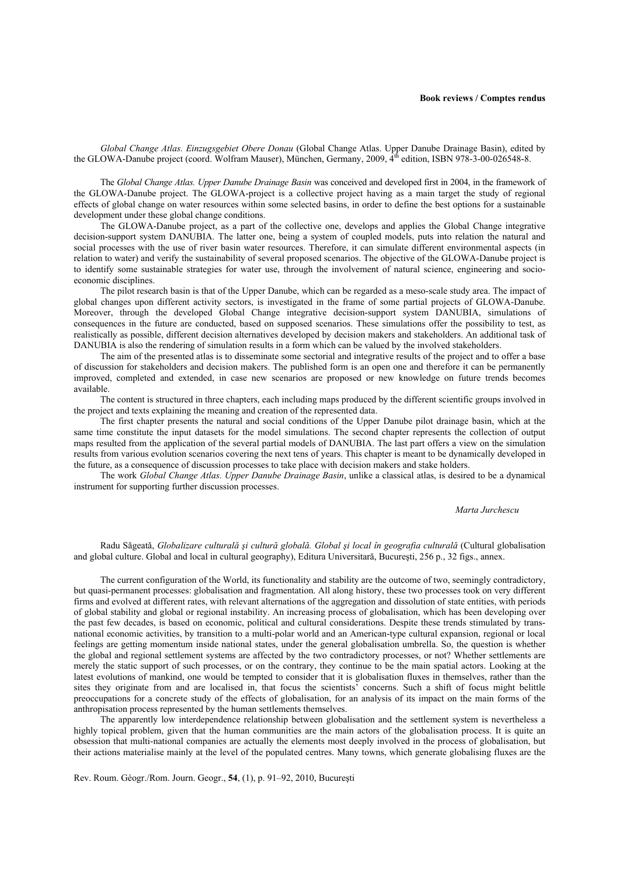*Global Change Atlas. Einzugsgebiet Obere Donau* (Global Change Atlas. Upper Danube Drainage Basin), edited by the GLOWA-Danube project (coord. Wolfram Mauser), München, Germany, 2009, 4<sup>th</sup> edition, ISBN 978-3-00-026548-8.

The *Global Change Atlas. Upper Danube Drainage Basin* was conceived and developed first in 2004, in the framework of the GLOWA-Danube project. The GLOWA-project is a collective project having as a main target the study of regional effects of global change on water resources within some selected basins, in order to define the best options for a sustainable development under these global change conditions.

The GLOWA-Danube project, as a part of the collective one, develops and applies the Global Change integrative decision-support system DANUBIA. The latter one, being a system of coupled models, puts into relation the natural and social processes with the use of river basin water resources. Therefore, it can simulate different environmental aspects (in relation to water) and verify the sustainability of several proposed scenarios. The objective of the GLOWA-Danube project is to identify some sustainable strategies for water use, through the involvement of natural science, engineering and socioeconomic disciplines.

The pilot research basin is that of the Upper Danube, which can be regarded as a meso-scale study area. The impact of global changes upon different activity sectors, is investigated in the frame of some partial projects of GLOWA-Danube. Moreover, through the developed Global Change integrative decision-support system DANUBIA, simulations of consequences in the future are conducted, based on supposed scenarios. These simulations offer the possibility to test, as realistically as possible, different decision alternatives developed by decision makers and stakeholders. An additional task of DANUBIA is also the rendering of simulation results in a form which can be valued by the involved stakeholders.

The aim of the presented atlas is to disseminate some sectorial and integrative results of the project and to offer a base of discussion for stakeholders and decision makers. The published form is an open one and therefore it can be permanently improved, completed and extended, in case new scenarios are proposed or new knowledge on future trends becomes available.

The content is structured in three chapters, each including maps produced by the different scientific groups involved in the project and texts explaining the meaning and creation of the represented data.

The first chapter presents the natural and social conditions of the Upper Danube pilot drainage basin, which at the same time constitute the input datasets for the model simulations. The second chapter represents the collection of output maps resulted from the application of the several partial models of DANUBIA. The last part offers a view on the simulation results from various evolution scenarios covering the next tens of years. This chapter is meant to be dynamically developed in the future, as a consequence of discussion processes to take place with decision makers and stake holders.

The work *Global Change Atlas. Upper Danube Drainage Basin*, unlike a classical atlas, is desired to be a dynamical instrument for supporting further discussion processes.

## *Marta Jurchescu*

Radu Săgeată, *Globalizare culturală şi cultură globală. Global şi local în geografia culturală* (Cultural globalisation and global culture. Global and local in cultural geography), Editura Universitară, Bucureşti, 256 p., 32 figs., annex.

The current configuration of the World, its functionality and stability are the outcome of two, seemingly contradictory, but quasi-permanent processes: globalisation and fragmentation. All along history, these two processes took on very different firms and evolved at different rates, with relevant alternations of the aggregation and dissolution of state entities, with periods of global stability and global or regional instability. An increasing process of globalisation, which has been developing over the past few decades, is based on economic, political and cultural considerations. Despite these trends stimulated by transnational economic activities, by transition to a multi-polar world and an American-type cultural expansion, regional or local feelings are getting momentum inside national states, under the general globalisation umbrella. So, the question is whether the global and regional settlement systems are affected by the two contradictory processes, or not? Whether settlements are merely the static support of such processes, or on the contrary, they continue to be the main spatial actors. Looking at the latest evolutions of mankind, one would be tempted to consider that it is globalisation fluxes in themselves, rather than the sites they originate from and are localised in, that focus the scientists' concerns. Such a shift of focus might belittle preoccupations for a concrete study of the effects of globalisation, for an analysis of its impact on the main forms of the anthropisation process represented by the human settlements themselves.

The apparently low interdependence relationship between globalisation and the settlement system is nevertheless a highly topical problem, given that the human communities are the main actors of the globalisation process. It is quite an obsession that multi-national companies are actually the elements most deeply involved in the process of globalisation, but their actions materialise mainly at the level of the populated centres. Many towns, which generate globalising fluxes are the

Rev. Roum. Géogr./Rom. Journ. Geogr., **54**, (1), p. 91–92, 2010, Bucureşti